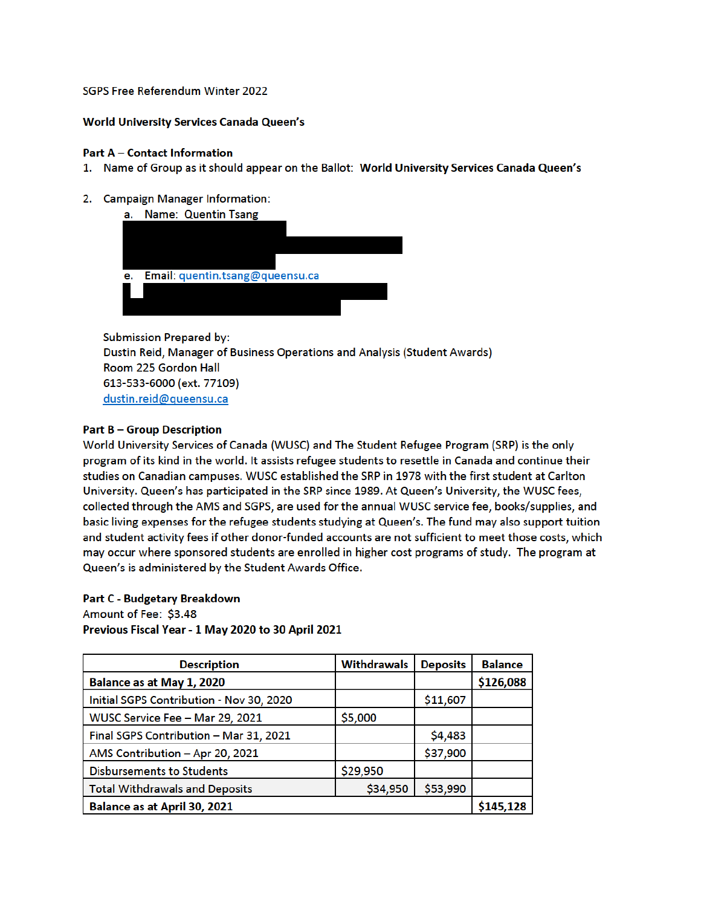## SGPS Free Referendum Winter 2022

## **World University Services Canada Queen's**

## **Part A - Contact Information**

- 1. Name of Group as it should appear on the Ballot: World University Services Canada Queen's
- 2. Campaign Manager Information:

| а. | <b>Name: Quentin Tsang</b>      |
|----|---------------------------------|
|    |                                 |
|    |                                 |
|    |                                 |
| е. | Email: quentin.tsang@queensu.ca |
|    |                                 |
|    |                                 |
|    |                                 |

**Submission Prepared by:** Dustin Reid, Manager of Business Operations and Analysis (Student Awards) Room 225 Gordon Hall 613-533-6000 (ext. 77109) dustin.reid@queensu.ca

# **Part B - Group Description**

World University Services of Canada (WUSC) and The Student Refugee Program (SRP) is the only program of its kind in the world. It assists refugee students to resettle in Canada and continue their studies on Canadian campuses. WUSC established the SRP in 1978 with the first student at Carlton University. Queen's has participated in the SRP since 1989. At Queen's University, the WUSC fees, collected through the AMS and SGPS, are used for the annual WUSC service fee, books/supplies, and basic living expenses for the refugee students studying at Queen's. The fund may also support tuition and student activity fees if other donor-funded accounts are not sufficient to meet those costs, which may occur where sponsored students are enrolled in higher cost programs of study. The program at Queen's is administered by the Student Awards Office.

### **Part C - Budgetary Breakdown**

Amount of Fee: \$3.48 Previous Fiscal Year - 1 May 2020 to 30 April 2021

| <b>Description</b>                       | <b>Withdrawals</b> | <b>Deposits</b> | <b>Balance</b> |
|------------------------------------------|--------------------|-----------------|----------------|
| Balance as at May 1, 2020                |                    |                 | \$126,088      |
| Initial SGPS Contribution - Nov 30, 2020 |                    | \$11,607        |                |
| WUSC Service Fee - Mar 29, 2021          | \$5,000            |                 |                |
| Final SGPS Contribution - Mar 31, 2021   |                    | \$4,483         |                |
| AMS Contribution - Apr 20, 2021          |                    | \$37,900        |                |
| <b>Disbursements to Students</b>         | \$29,950           |                 |                |
| <b>Total Withdrawals and Deposits</b>    | \$34,950           | \$53,990        |                |
| Balance as at April 30, 2021             |                    |                 |                |